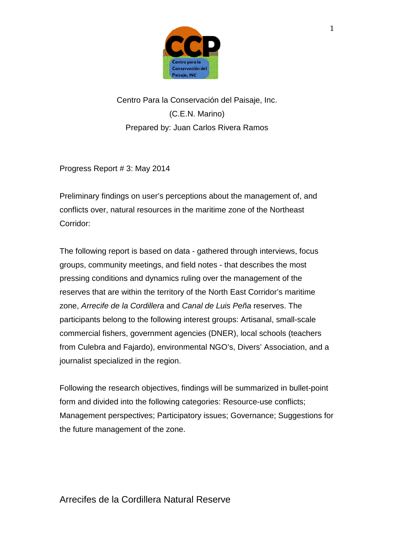

# Centro Para la Conservación del Paisaje, Inc. (C.E.N. Marino) Prepared by: Juan Carlos Rivera Ramos

Progress Report # 3: May 2014

Preliminary findings on user's perceptions about the management of, and conflicts over, natural resources in the maritime zone of the Northeast Corridor:

The following report is based on data - gathered through interviews, focus groups, community meetings, and field notes - that describes the most pressing conditions and dynamics ruling over the management of the reserves that are within the territory of the North East Corridor's maritime zone, *Arrecife de la Cordillera* and *Canal de Luis Peña* reserves. The participants belong to the following interest groups: Artisanal, small-scale commercial fishers, government agencies (DNER), local schools (teachers from Culebra and Fajardo), environmental NGO's, Divers' Association, and a journalist specialized in the region.

Following the research objectives, findings will be summarized in bullet-point form and divided into the following categories: Resource-use conflicts; Management perspectives; Participatory issues; Governance; Suggestions for the future management of the zone.

# Arrecifes de la Cordillera Natural Reserve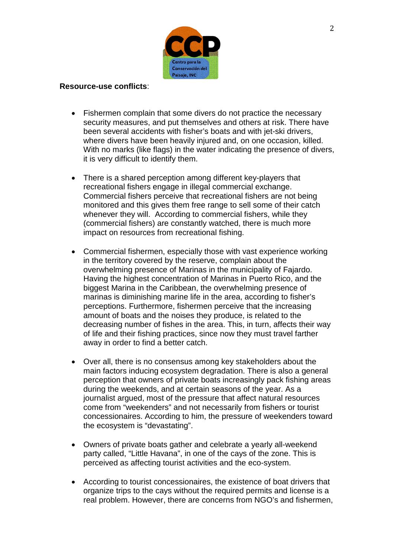

### **Resource-use conflicts**:

- Fishermen complain that some divers do not practice the necessary security measures, and put themselves and others at risk. There have been several accidents with fisher's boats and with jet-ski drivers, where divers have been heavily injured and, on one occasion, killed. With no marks (like flags) in the water indicating the presence of divers, it is very difficult to identify them.
- There is a shared perception among different key-players that recreational fishers engage in illegal commercial exchange. Commercial fishers perceive that recreational fishers are not being monitored and this gives them free range to sell some of their catch whenever they will. According to commercial fishers, while they (commercial fishers) are constantly watched, there is much more impact on resources from recreational fishing.
- Commercial fishermen, especially those with vast experience working in the territory covered by the reserve, complain about the overwhelming presence of Marinas in the municipality of Fajardo. Having the highest concentration of Marinas in Puerto Rico, and the biggest Marina in the Caribbean, the overwhelming presence of marinas is diminishing marine life in the area, according to fisher's perceptions. Furthermore, fishermen perceive that the increasing amount of boats and the noises they produce, is related to the decreasing number of fishes in the area. This, in turn, affects their way of life and their fishing practices, since now they must travel farther away in order to find a better catch.
- Over all, there is no consensus among key stakeholders about the main factors inducing ecosystem degradation. There is also a general perception that owners of private boats increasingly pack fishing areas during the weekends, and at certain seasons of the year. As a journalist argued, most of the pressure that affect natural resources come from "weekenders" and not necessarily from fishers or tourist concessionaires. According to him, the pressure of weekenders toward the ecosystem is "devastating".
- Owners of private boats gather and celebrate a yearly all-weekend party called, "Little Havana", in one of the cays of the zone. This is perceived as affecting tourist activities and the eco-system.
- According to tourist concessionaires, the existence of boat drivers that organize trips to the cays without the required permits and license is a real problem. However, there are concerns from NGO's and fishermen,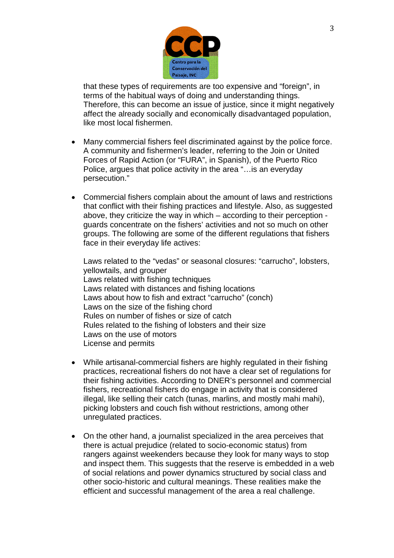

that these types of requirements are too expensive and "foreign", in terms of the habitual ways of doing and understanding things. Therefore, this can become an issue of justice, since it might negatively affect the already socially and economically disadvantaged population, like most local fishermen.

- Many commercial fishers feel discriminated against by the police force. A community and fishermen's leader, referring to the Join or United Forces of Rapid Action (or "FURA", in Spanish), of the Puerto Rico Police, argues that police activity in the area "…is an everyday persecution."
- Commercial fishers complain about the amount of laws and restrictions that conflict with their fishing practices and lifestyle. Also, as suggested above, they criticize the way in which – according to their perception guards concentrate on the fishers' activities and not so much on other groups. The following are some of the different regulations that fishers face in their everyday life actives:

Laws related to the "vedas" or seasonal closures: "carrucho", lobsters, yellowtails, and grouper Laws related with fishing techniques Laws related with distances and fishing locations Laws about how to fish and extract "carrucho" (conch) Laws on the size of the fishing chord Rules on number of fishes or size of catch Rules related to the fishing of lobsters and their size Laws on the use of motors License and permits

- While artisanal-commercial fishers are highly regulated in their fishing practices, recreational fishers do not have a clear set of regulations for their fishing activities. According to DNER's personnel and commercial fishers, recreational fishers do engage in activity that is considered illegal, like selling their catch (tunas, marlins, and mostly mahi mahi), picking lobsters and couch fish without restrictions, among other unregulated practices.
- On the other hand, a journalist specialized in the area perceives that there is actual prejudice (related to socio-economic status) from rangers against weekenders because they look for many ways to stop and inspect them. This suggests that the reserve is embedded in a web of social relations and power dynamics structured by social class and other socio-historic and cultural meanings. These realities make the efficient and successful management of the area a real challenge.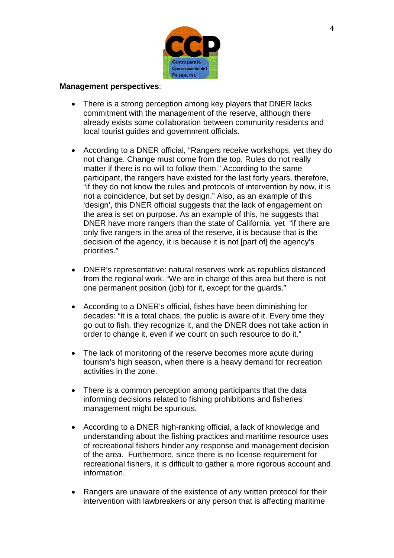

### **Management perspectives**:

- There is a strong perception among key players that DNER lacks commitment with the management of the reserve, although there already exists some collaboration between community residents and local tourist guides and government officials.
- According to a DNER official, "Rangers receive workshops, yet they do not change. Change must come from the top. Rules do not really matter if there is no will to follow them." According to the same participant, the rangers have existed for the last forty years, therefore, "if they do not know the rules and protocols of intervention by now, it is not a coincidence, but set by design." Also, as an example of this 'design', this DNER official suggests that the lack of engagement on the area is set on purpose. As an example of this, he suggests that DNER have more rangers than the state of California, yet "if there are only five rangers in the area of the reserve, it is because that is the decision of the agency, it is because it is not [part of] the agency's priorities."
- DNER's representative: natural reserves work as republics distanced from the regional work. "We are in charge of this area but there is not one permanent position (job) for it, except for the guards."
- According to a DNER's official, fishes have been diminishing for decades: "it is a total chaos, the public is aware of it. Every time they go out to fish, they recognize it, and the DNER does not take action in order to change it, even if we count on such resource to do it."
- The lack of monitoring of the reserve becomes more acute during tourism's high season, when there is a heavy demand for recreation activities in the zone.
- There is a common perception among participants that the data informing decisions related to fishing prohibitions and fisheries' management might be spurious.
- According to a DNER high-ranking official, a lack of knowledge and understanding about the fishing practices and maritime resource uses of recreational fishers hinder any response and management decision of the area. Furthermore, since there is no license requirement for recreational fishers, it is difficult to gather a more rigorous account and information.
- Rangers are unaware of the existence of any written protocol for their intervention with lawbreakers or any person that is affecting maritime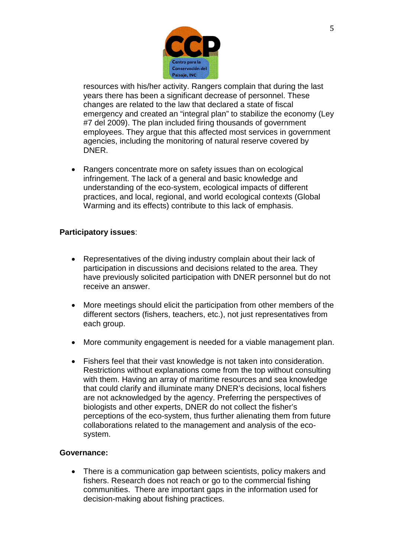

resources with his/her activity. Rangers complain that during the last years there has been a significant decrease of personnel. These changes are related to the law that declared a state of fiscal emergency and created an "integral plan" to stabilize the economy (Ley #7 del 2009). The plan included firing thousands of government employees. They argue that this affected most services in government agencies, including the monitoring of natural reserve covered by DNER.

• Rangers concentrate more on safety issues than on ecological infringement. The lack of a general and basic knowledge and understanding of the eco-system, ecological impacts of different practices, and local, regional, and world ecological contexts (Global Warming and its effects) contribute to this lack of emphasis.

## **Participatory issues**:

- Representatives of the diving industry complain about their lack of participation in discussions and decisions related to the area. They have previously solicited participation with DNER personnel but do not receive an answer.
- More meetings should elicit the participation from other members of the different sectors (fishers, teachers, etc.), not just representatives from each group.
- More community engagement is needed for a viable management plan.
- Fishers feel that their vast knowledge is not taken into consideration. Restrictions without explanations come from the top without consulting with them. Having an array of maritime resources and sea knowledge that could clarify and illuminate many DNER's decisions, local fishers are not acknowledged by the agency. Preferring the perspectives of biologists and other experts, DNER do not collect the fisher's perceptions of the eco-system, thus further alienating them from future collaborations related to the management and analysis of the ecosystem.

### **Governance:**

• There is a communication gap between scientists, policy makers and fishers. Research does not reach or go to the commercial fishing communities. There are important gaps in the information used for decision-making about fishing practices.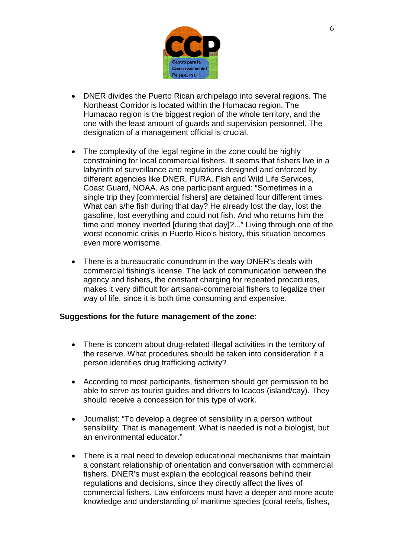

- DNER divides the Puerto Rican archipelago into several regions. The Northeast Corridor is located within the Humacao region. The Humacao region is the biggest region of the whole territory, and the one with the least amount of guards and supervision personnel. The designation of a management official is crucial.
- The complexity of the legal regime in the zone could be highly constraining for local commercial fishers. It seems that fishers live in a labyrinth of surveillance and regulations designed and enforced by different agencies like DNER, FURA, Fish and Wild Life Services, Coast Guard, NOAA. As one participant argued: "Sometimes in a single trip they [commercial fishers] are detained four different times. What can s/he fish during that day? He already lost the day, lost the gasoline, lost everything and could not fish. And who returns him the time and money inverted [during that day]?..." Living through one of the worst economic crisis in Puerto Rico's history, this situation becomes even more worrisome.
- There is a bureaucratic conundrum in the way DNER's deals with commercial fishing's license. The lack of communication between the agency and fishers, the constant charging for repeated procedures, makes it very difficult for artisanal-commercial fishers to legalize their way of life, since it is both time consuming and expensive.

### **Suggestions for the future management of the zone**:

- There is concern about drug-related illegal activities in the territory of the reserve. What procedures should be taken into consideration if a person identifies drug trafficking activity?
- According to most participants, fishermen should get permission to be able to serve as tourist guides and drivers to Icacos (island/cay). They should receive a concession for this type of work.
- Journalist: "To develop a degree of sensibility in a person without sensibility. That is management. What is needed is not a biologist, but an environmental educator."
- There is a real need to develop educational mechanisms that maintain a constant relationship of orientation and conversation with commercial fishers. DNER's must explain the ecological reasons behind their regulations and decisions, since they directly affect the lives of commercial fishers. Law enforcers must have a deeper and more acute knowledge and understanding of maritime species (coral reefs, fishes,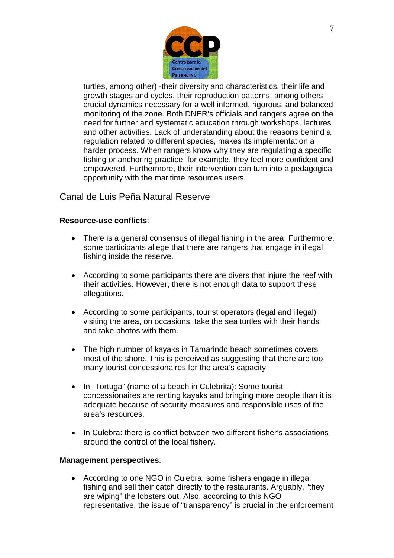

turtles, among other) -their diversity and characteristics, their life and growth stages and cycles, their reproduction patterns, among others crucial dynamics necessary for a well informed, rigorous, and balanced monitoring of the zone. Both DNER's officials and rangers agree on the need for further and systematic education through workshops, lectures and other activities. Lack of understanding about the reasons behind a regulation related to different species, makes its implementation a harder process. When rangers know why they are regulating a specific fishing or anchoring practice, for example, they feel more confident and empowered. Furthermore, their intervention can turn into a pedagogical opportunity with the maritime resources users.

# Canal de Luis Peña Natural Reserve

### **Resource-use conflicts**:

- There is a general consensus of illegal fishing in the area. Furthermore, some participants allege that there are rangers that engage in illegal fishing inside the reserve.
- According to some participants there are divers that injure the reef with their activities. However, there is not enough data to support these allegations.
- According to some participants, tourist operators (legal and illegal) visiting the area, on occasions, take the sea turtles with their hands and take photos with them.
- The high number of kayaks in Tamarindo beach sometimes covers most of the shore. This is perceived as suggesting that there are too many tourist concessionaires for the area's capacity.
- In "Tortuga" (name of a beach in Culebrita): Some tourist concessionaires are renting kayaks and bringing more people than it is adequate because of security measures and responsible uses of the area's resources.
- In Culebra: there is conflict between two different fisher's associations around the control of the local fishery.

#### **Management perspectives**:

• According to one NGO in Culebra, some fishers engage in illegal fishing and sell their catch directly to the restaurants. Arguably, "they are wiping" the lobsters out. Also, according to this NGO representative, the issue of "transparency" is crucial in the enforcement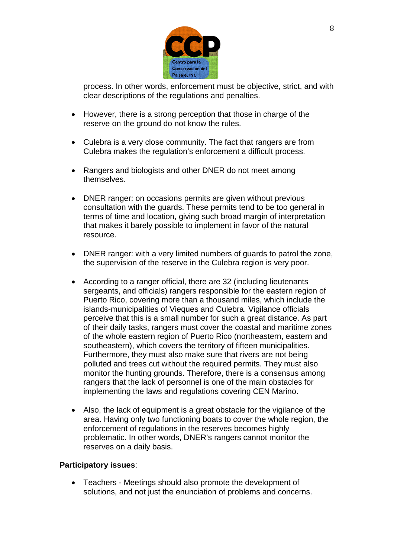

process. In other words, enforcement must be objective, strict, and with clear descriptions of the regulations and penalties.

- However, there is a strong perception that those in charge of the reserve on the ground do not know the rules.
- Culebra is a very close community. The fact that rangers are from Culebra makes the regulation's enforcement a difficult process.
- Rangers and biologists and other DNER do not meet among themselves.
- DNER ranger: on occasions permits are given without previous consultation with the guards. These permits tend to be too general in terms of time and location, giving such broad margin of interpretation that makes it barely possible to implement in favor of the natural resource.
- DNER ranger: with a very limited numbers of guards to patrol the zone, the supervision of the reserve in the Culebra region is very poor.
- According to a ranger official, there are 32 (including lieutenants sergeants, and officials) rangers responsible for the eastern region of Puerto Rico, covering more than a thousand miles, which include the islands-municipalities of Vieques and Culebra. Vigilance officials perceive that this is a small number for such a great distance. As part of their daily tasks, rangers must cover the coastal and maritime zones of the whole eastern region of Puerto Rico (northeastern, eastern and southeastern), which covers the territory of fifteen municipalities. Furthermore, they must also make sure that rivers are not being polluted and trees cut without the required permits. They must also monitor the hunting grounds. Therefore, there is a consensus among rangers that the lack of personnel is one of the main obstacles for implementing the laws and regulations covering CEN Marino.
- Also, the lack of equipment is a great obstacle for the vigilance of the area. Having only two functioning boats to cover the whole region, the enforcement of regulations in the reserves becomes highly problematic. In other words, DNER's rangers cannot monitor the reserves on a daily basis.

### **Participatory issues**:

• Teachers - Meetings should also promote the development of solutions, and not just the enunciation of problems and concerns.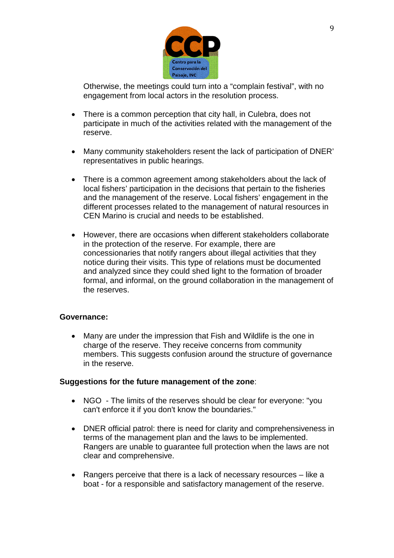

Otherwise, the meetings could turn into a "complain festival", with no engagement from local actors in the resolution process.

- There is a common perception that city hall, in Culebra, does not participate in much of the activities related with the management of the reserve.
- Many community stakeholders resent the lack of participation of DNER' representatives in public hearings.
- There is a common agreement among stakeholders about the lack of local fishers' participation in the decisions that pertain to the fisheries and the management of the reserve. Local fishers' engagement in the different processes related to the management of natural resources in CEN Marino is crucial and needs to be established.
- However, there are occasions when different stakeholders collaborate in the protection of the reserve. For example, there are concessionaries that notify rangers about illegal activities that they notice during their visits. This type of relations must be documented and analyzed since they could shed light to the formation of broader formal, and informal, on the ground collaboration in the management of the reserves.

#### **Governance:**

• Many are under the impression that Fish and Wildlife is the one in charge of the reserve. They receive concerns from community members. This suggests confusion around the structure of governance in the reserve.

#### **Suggestions for the future management of the zone**:

- NGO The limits of the reserves should be clear for everyone: "you can't enforce it if you don't know the boundaries."
- DNER official patrol: there is need for clarity and comprehensiveness in terms of the management plan and the laws to be implemented. Rangers are unable to guarantee full protection when the laws are not clear and comprehensive.
- Rangers perceive that there is a lack of necessary resources like a boat - for a responsible and satisfactory management of the reserve.